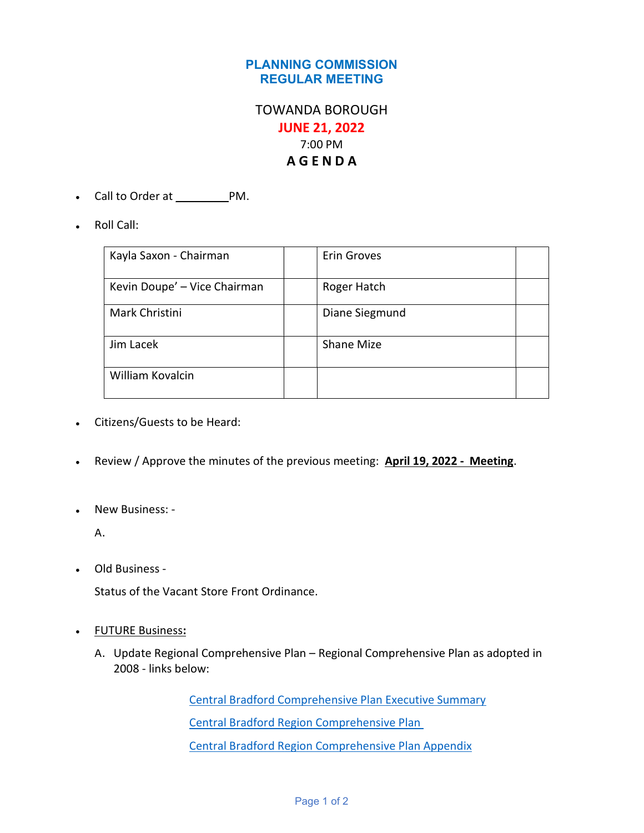## PLANNING COMMISSION REGULAR MEETING

## TOWANDA BOROUGH JUNE 21, 2022 7:00 PM A G E N D A

- Call to Order at \_\_\_\_\_\_\_\_\_\_\_PM.
- Roll Call:

| Kayla Saxon - Chairman       | Erin Groves    |
|------------------------------|----------------|
| Kevin Doupe' - Vice Chairman | Roger Hatch    |
| Mark Christini               | Diane Siegmund |
| Jim Lacek                    | Shane Mize     |
| <b>William Kovalcin</b>      |                |

- Citizens/Guests to be Heard:
- Review / Approve the minutes of the previous meeting: April 19, 2022 Meeting.
- New Business: -

A.

Old Business -

Status of the Vacant Store Front Ordinance.

- FUTURE Business:
	- A. Update Regional Comprehensive Plan Regional Comprehensive Plan as adopted in 2008 - links below:

 Central Bradford Comprehensive Plan Executive Summary Central Bradford Region Comprehensive Plan Central Bradford Region Comprehensive Plan Appendix